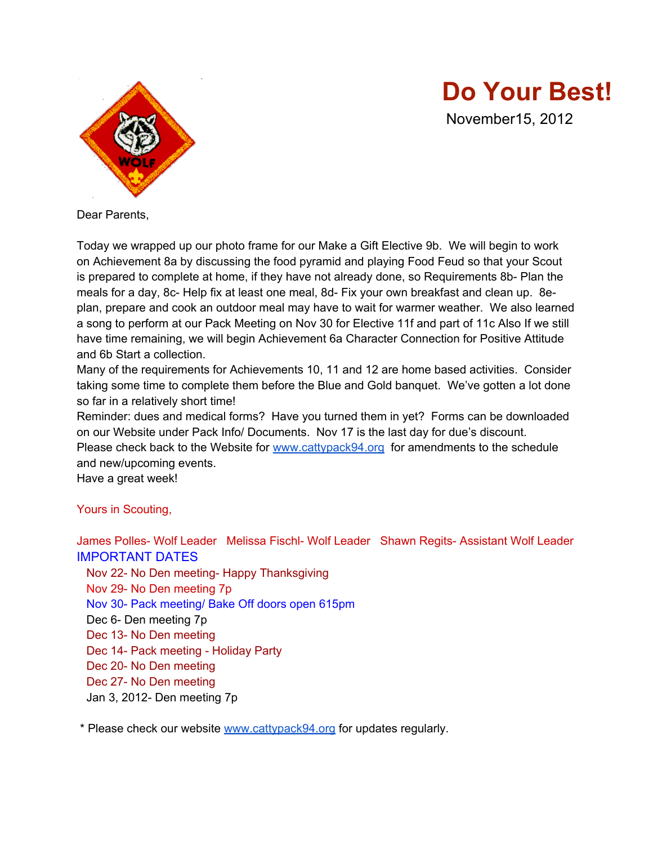

**Do Your Best!**

November15, 2012

Dear Parents,

Today we wrapped up our photo frame for our Make a Gift Elective 9b. We will begin to work on Achievement 8a by discussing the food pyramid and playing Food Feud so that your Scout is prepared to complete at home, if they have not already done, so Requirements 8b- Plan the meals for a day, 8c- Help fix at least one meal, 8d- Fix your own breakfast and clean up. 8eplan, prepare and cook an outdoor meal may have to wait for warmer weather. We also learned a song to perform at our Pack Meeting on Nov 30 for Elective 11f and part of 11c Also If we still have time remaining, we will begin Achievement 6a Character Connection for Positive Attitude and 6b Start a collection.

Many of the requirements for Achievements 10, 11 and 12 are home based activities. Consider taking some time to complete them before the Blue and Gold banquet. We've gotten a lot done so far in a relatively short time!

Reminder: dues and medical forms? Have you turned them in yet? Forms can be downloaded on our Website under Pack Info/ Documents. Nov 17 is the last day for due's discount. Please check back to the Website for [www.cattypack94.org](http://www.cattypack94.org) for amendments to the schedule and new/upcoming events.

Have a great week!

Yours in Scouting,

James Polles- Wolf Leader Melissa Fischl- Wolf Leader Shawn Regits- Assistant Wolf Leader IMPORTANT DATES Nov 22- No Den meeting- Happy Thanksgiving Nov 29- No Den meeting 7p Nov 30- Pack meeting/ Bake Off doors open 615pm Dec 6- Den meeting 7p Dec 13- No Den meeting Dec 14- Pack meeting - Holiday Party Dec 20- No Den meeting Dec 27- No Den meeting Jan 3, 2012- Den meeting 7p

\* Please check our website [www.cattypack94.org](http://www.cattypack94.org) for updates regularly.